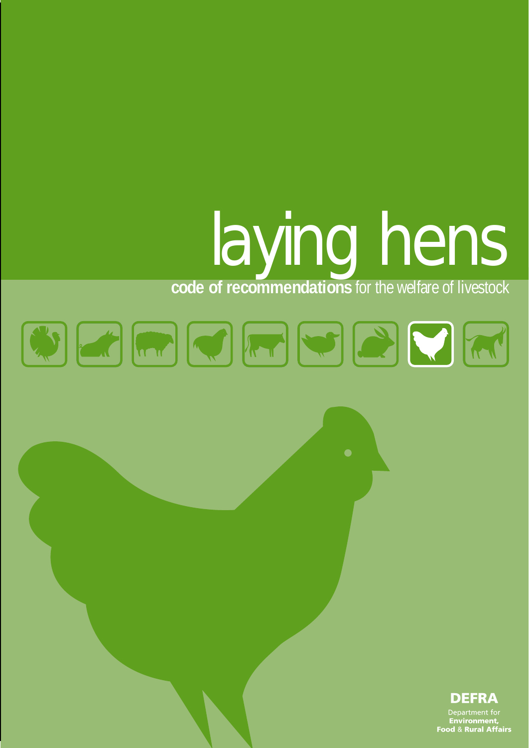# **Laying hens <br>
code of recommendations** for the welfare of livestock



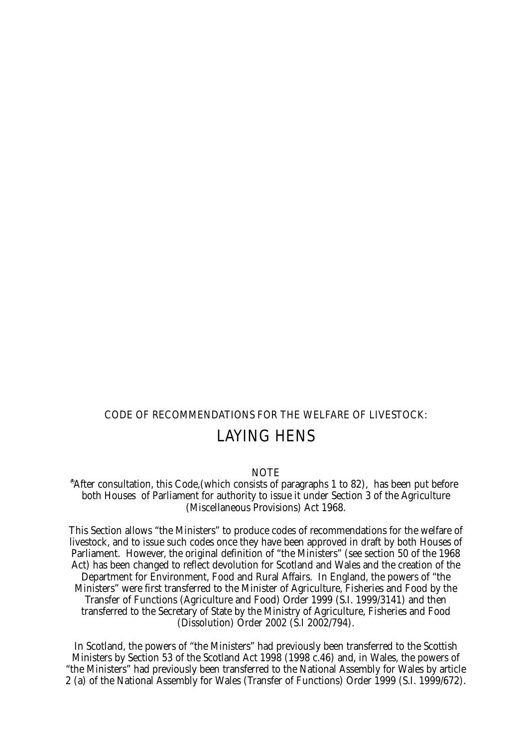#### CODE OF RECOMMENDATIONS FOR THE WELFARE OF LIVESTOCK:

#### LAYING HENS

#### NOTE

After consultation, this Code,(which consists of paragraphs 1 to 82), has been put before **A**both Houses of Parliament for authority to issue it under Section 3 of the Agriculture (Miscellaneous Provisions) Act 1968.

This Section allows "the Ministers" to produce codes of recommendations for the welfare of livestock, and to issue such codes once they have been approved in draft by both Houses of Parliament. However, the original definition of "the Ministers" (see section 50 of the 1968 Act) has been changed to reflect devolution for Scotland and Wales and the creation of the Department for Environment, Food and Rural Affairs. In England, the powers of "the Ministers" were first transferred to the Minister of Agriculture, Fisheries and Food by the Transfer of Functions (Agriculture and Food) Order 1999 (S.I. 1999/3141) and then transferred to the Secretary of State by the Ministry of Agriculture, Fisheries and Food (Dissolution) Order 2002 (S.I 2002/794).

In Scotland, the powers of "the Ministers" had previously been transferred to the Scottish Ministers by Section 53 of the Scotland Act 1998 (1998 c.46) and, in Wales, the powers of "the Ministers" had previously been transferred to the National Assembly for Wales by article 2 (a) of the National Assembly for Wales (Transfer of Functions) Order 1999 (S.I. 1999/672).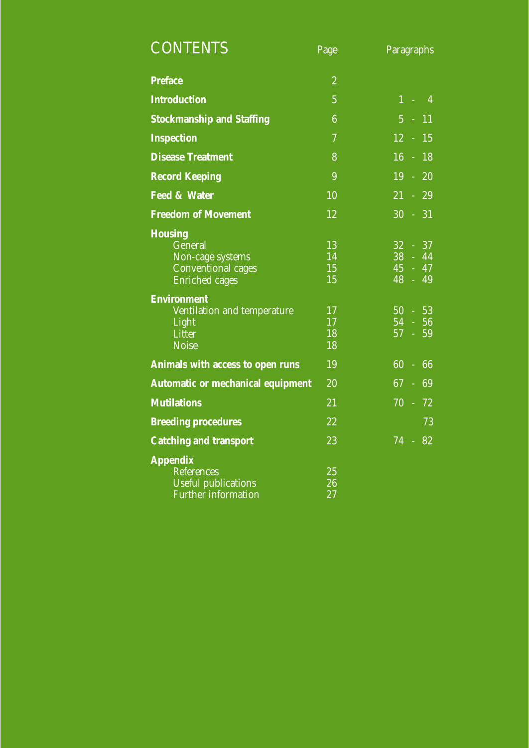| <b>CONTENTS</b>                                                                                                                                                                             | Page                                                      | Paragraphs                                                                          |
|---------------------------------------------------------------------------------------------------------------------------------------------------------------------------------------------|-----------------------------------------------------------|-------------------------------------------------------------------------------------|
| <b>Preface</b>                                                                                                                                                                              | $\overline{2}$                                            |                                                                                     |
| <b>Introduction</b>                                                                                                                                                                         | $\overline{5}$                                            | $1 - 4$                                                                             |
| <b>Stockmanship and Staffing</b>                                                                                                                                                            | $6\phantom{1}6$                                           | $5 - 11$                                                                            |
| <b>Inspection</b>                                                                                                                                                                           | $\overline{7}$                                            | $12 - 15$                                                                           |
| <b>Disease Treatment</b>                                                                                                                                                                    | 8                                                         | $16 - 18$                                                                           |
| <b>Record Keeping</b>                                                                                                                                                                       | 9                                                         | $19 - 20$                                                                           |
| <b>Feed &amp; Water</b>                                                                                                                                                                     | 10                                                        | $21 - 29$                                                                           |
| <b>Freedom of Movement</b>                                                                                                                                                                  | 12                                                        | $30 - 31$                                                                           |
| <b>Housing</b><br>General<br>Non-cage systems<br><b>Conventional cages</b><br><b>Enriched cages</b><br><b>Environment</b><br>Ventilation and temperature<br>Light<br>Litter<br><b>Noise</b> | 13<br>14<br>$\overline{15}$<br>15<br>17<br>17<br>18<br>18 | $32 - 37$<br>$38 - 44$<br>45 - 47<br>48 - 49<br>$50 - 53$<br>$54 - 56$<br>$57 - 59$ |
| Animals with access to open runs                                                                                                                                                            | 19                                                        | 60<br>66<br>$\omega_{\rm c}$                                                        |
| <b>Automatic or mechanical equipment</b>                                                                                                                                                    | 20                                                        | $67 -$<br>69                                                                        |
| <b>Mutilations</b>                                                                                                                                                                          | 21                                                        | $70 - 72$                                                                           |
| <b>Breeding procedures</b>                                                                                                                                                                  | 22                                                        | 73                                                                                  |
| <b>Catching and transport</b>                                                                                                                                                               | 23                                                        | $74 - 82$                                                                           |
| <b>Appendix</b><br><b>References</b><br><b>Useful publications</b><br><b>Further information</b>                                                                                            | 25<br>26<br>27                                            |                                                                                     |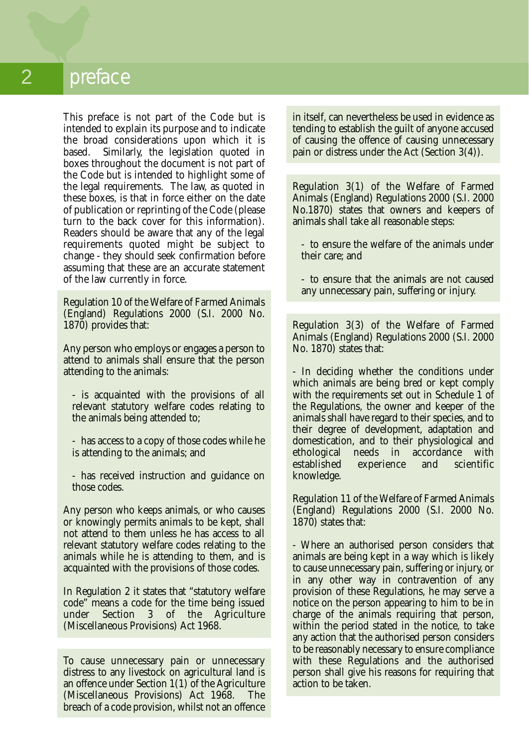This preface is not part of the Code but is intended to explain its purpose and to indicate the broad considerations upon which it is based. Similarly, the legislation quoted in boxes throughout the document is not part of the Code but is intended to highlight some of the legal requirements. The law, as quoted in these boxes, is that in force either on the date of publication or reprinting of the Code (please turn to the back cover for this information). Readers should be aware that any of the legal requirements quoted might be subject to change - they should seek confirmation before assuming that these are an accurate statement of the law currently in force.

Regulation 10 of the Welfare of Farmed Animals (England) Regulations 2000 (S.I. 2000 No. 1870) provides that:

Any person who employs or engages a person to attend to animals shall ensure that the person attending to the animals:

- is acquainted with the provisions of all relevant statutory welfare codes relating to the animals being attended to;
- has access to a copy of those codes while he is attending to the animals; and
- has received instruction and guidance on those codes.

Any person who keeps animals, or who causes or knowingly permits animals to be kept, shall not attend to them unless he has access to all relevant statutory welfare codes relating to the animals while he is attending to them, and is acquainted with the provisions of those codes.

In Regulation 2 it states that "statutory welfare code" means a code for the time being issued under Section (Miscellaneous Provisions) Act 1968.

To cause unnecessary pain or unnecessary distress to any livestock on agricultural land is an offence under Section 1(1) of the Agriculture (Miscellaneous Provisions) Act 1968. The breach of a code provision, whilst not an offence

in itself, can nevertheless be used in evidence as tending to establish the guilt of anyone accused of causing the offence of causing unnecessary pain or distress under the Act (Section 3(4)).

Regulation 3(1) of the Welfare of Farmed Animals (England) Regulations 2000 (S.I. 2000 No.1870) states that owners and keepers of animals shall take all reasonable steps:

- to ensure the welfare of the animals under their care; and
- to ensure that the animals are not caused any unnecessary pain, suffering or injury.

Regulation 3(3) of the Welfare of Farmed Animals (England) Regulations 2000 (S.I. 2000 No. 1870) states that:

- In deciding whether the conditions under which animals are being bred or kept comply with the requirements set out in Schedule 1 of the Regulations, the owner and keeper of the animals shall have regard to their species, and to their degree of development, adaptation and domestication, and to their physiological and<br>ethological needs in accordance with needs in accordance with established experience and scientific knowledge.

Regulation 11 of the Welfare of Farmed Animals (England) Regulations 2000 (S.I. 2000 No. 1870) states that:

- Where an authorised person considers that animals are being kept in a way which is likely to cause unnecessary pain, suffering or injury, or in any other way in contravention of any provision of these Regulations, he may serve a notice on the person appearing to him to be in charge of the animals requiring that person, within the period stated in the notice, to take any action that the authorised person considers to be reasonably necessary to ensure compliance with these Regulations and the authorised person shall give his reasons for requiring that action to be taken.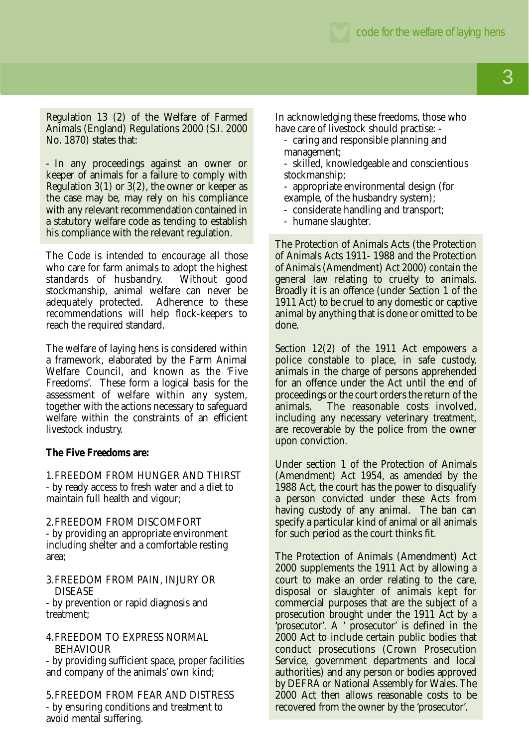Regulation 13 (2) of the Welfare of Farmed Animals (England) Regulations 2000 (S.I. 2000 No. 1870) states that:

- In any proceedings against an owner or keeper of animals for a failure to comply with Regulation 3(1) or 3(2), the owner or keeper as the case may be, may rely on his compliance with any relevant recommendation contained in a statutory welfare code as tending to establish his compliance with the relevant regulation.

The Code is intended to encourage all those who care for farm animals to adopt the highest standards of husbandry. Without good stockmanship, animal welfare can never be adequately protected. Adherence to these recommendations will help flock-keepers to reach the required standard.

The welfare of laying hens is considered within a framework, elaborated by the Farm Animal Welfare Council, and known as the 'Five Freedoms'. These form a logical basis for the assessment of welfare within any system, together with the actions necessary to safeguard welfare within the constraints of an efficient livestock industry.

#### **The Five Freedoms are:**

1.FREEDOM FROM HUNGER AND THIRST - by ready access to fresh water and a diet to maintain full health and vigour;

#### 2.FREEDOM FROM DISCOMFORT

- by providing an appropriate environment including shelter and a comfortable resting area;

#### 3.FREEDOM FROM PAIN, INJURY OR DISEASE

- by prevention or rapid diagnosis and treatment;

#### 4.FREEDOM TO EXPRESS NORMAL BEHAVIOUR

- by providing sufficient space, proper facilities and company of the animals' own kind;

5.FREEDOM FROM FEAR AND DISTRESS - by ensuring conditions and treatment to avoid mental suffering.

In acknowledging these freedoms, those who have care of livestock should practise: -

- caring and responsible planning and management;

- skilled, knowledgeable and conscientious stockmanship;

- appropriate environmental design (for example, of the husbandry system);

- considerate handling and transport;
- humane slaughter.

The Protection of Animals Acts (the Protection of Animals Acts 1911- 1988 and the Protection of Animals (Amendment) Act 2000) contain the general law relating to cruelty to animals. Broadly it is an offence (under Section 1 of the 1911 Act) to be cruel to any domestic or captive animal by anything that is done or omitted to be done.

Section 12(2) of the 1911 Act empowers a police constable to place, in safe custody, animals in the charge of persons apprehended for an offence under the Act until the end of proceedings or the court orders the return of the animals. The reasonable costs involved, including any necessary veterinary treatment, are recoverable by the police from the owner upon conviction.

Under section 1 of the Protection of Animals (Amendment) Act 1954, as amended by the 1988 Act, the court has the power to disqualify a person convicted under these Acts from having custody of any animal. The ban can specify a particular kind of animal or all animals for such period as the court thinks fit.

The Protection of Animals (Amendment) Act 2000 supplements the 1911 Act by allowing a court to make an order relating to the care, disposal or slaughter of animals kept for commercial purposes that are the subject of a prosecution brought under the 1911 Act by a 'prosecutor'. A ' prosecutor' is defined in the 2000 Act to include certain public bodies that conduct prosecutions (Crown Prosecution Service, government departments and local authorities) and any person or bodies approved by DEFRA or National Assembly for Wales. The 2000 Act then allows reasonable costs to be recovered from the owner by the 'prosecutor'.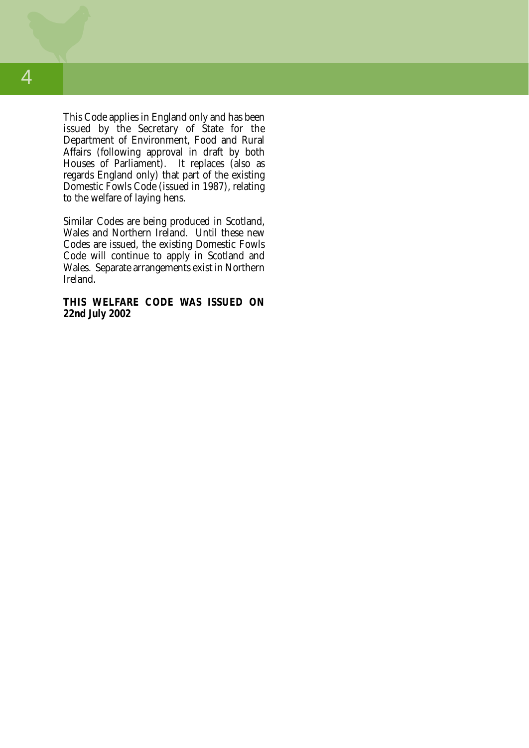This Code applies in England only and has been issued by the Secretary of State for the Department of Environment, Food and Rural Affairs (following approval in draft by both Houses of Parliament). It replaces (also as regards England only) that part of the existing Domestic Fowls Code (issued in 1987), relating to the welfare of laying hens.

Similar Codes are being produced in Scotland, Wales and Northern Ireland. Until these new Codes are issued, the existing Domestic Fowls Code will continue to apply in Scotland and Wales. Separate arrangements exist in Northern Ireland.

**THIS WELFARE CODE WAS ISSUED ON 22nd July 2002**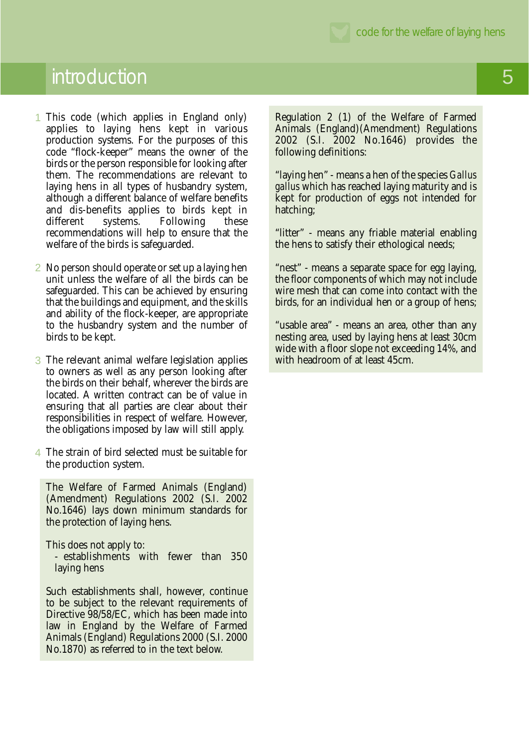## introduction

- This code (which applies in England only) 1 applies to laying hens kept in various production systems. For the purposes of this code "flock-keeper" means the owner of the birds or the person responsible for looking after them. The recommendations are relevant to laying hens in all types of husbandry system, although a different balance of welfare benefits and dis-benefits applies to birds kept in different systems. Following these recommendations will help to ensure that the welfare of the birds is safeguarded.
- No person should operate or set up a laying hen 2 unit unless the welfare of all the birds can be safeguarded. This can be achieved by ensuring that the buildings and equipment, and the skills and ability of the flock-keeper, are appropriate to the husbandry system and the number of birds to be kept.
- 3 The relevant animal welfare legislation applies to owners as well as any person looking after the birds on their behalf, wherever the birds are located. A written contract can be of value in ensuring that all parties are clear about their responsibilities in respect of welfare. However, the obligations imposed by law will still apply.
- The strain of bird selected must be suitable for 4 the production system.

The Welfare of Farmed Animals (England) (Amendment) Regulations 2002 (S.I. 2002 No.1646) lays down minimum standards for the protection of laying hens.

This does not apply to:

- establishments with fewer than 350 laying hens

Such establishments shall, however, continue to be subject to the relevant requirements of Directive 98/58/EC, which has been made into law in England by the Welfare of Farmed Animals (England) Regulations 2000 (S.I. 2000 No.1870) as referred to in the text below.

Regulation 2 (1) of the Welfare of Farmed Animals (England)(Amendment) Regulations 2002 (S.I. 2002 No.1646) provides the following definitions:

"laying hen" - means a hen of the species *Gallus gallus* which has reached laying maturity and is kept for production of eggs not intended for hatching;

"litter" - means any friable material enabling the hens to satisfy their ethological needs;

"nest" - means a separate space for egg laying, the floor components of which may not include wire mesh that can come into contact with the birds, for an individual hen or a group of hens;

"usable area" - means an area, other than any nesting area, used by laying hens at least 30cm wide with a floor slope not exceeding 14%, and with headroom of at least 45cm.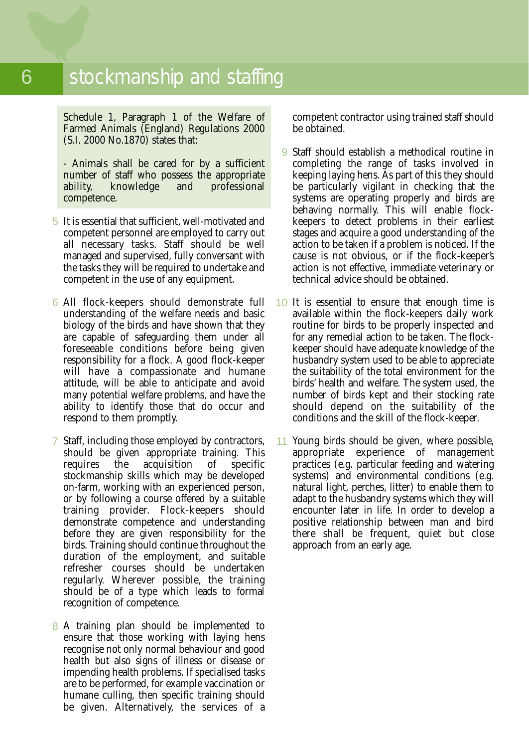Schedule 1, Paragraph 1 of the Welfare of Farmed Animals (England) Regulations 2000 (S.I. 2000 No.1870) states that:

- Animals shall be cared for by a sufficient number of staff who possess the appropriate ability, knowledge and professional competence.

- 5 It is essential that sufficient, well-motivated and competent personnel are employed to carry out all necessary tasks. Staff should be well managed and supervised, fully conversant with the tasks they will be required to undertake and competent in the use of any equipment.
- 6 All flock-keepers should demonstrate full understanding of the welfare needs and basic biology of the birds and have shown that they are capable of safeguarding them under all foreseeable conditions before being given responsibility for a flock. A good flock-keeper will have a compassionate and humane attitude, will be able to anticipate and avoid many potential welfare problems, and have the ability to identify those that do occur and respond to them promptly.
- Staff, including those employed by contractors, 7 should be given appropriate training. This requires the acquisition of specific stockmanship skills which may be developed on-farm, working with an experienced person, or by following a course offered by a suitable training provider. Flock-keepers should demonstrate competence and understanding before they are given responsibility for the birds. Training should continue throughout the duration of the employment, and suitable refresher courses should be undertaken regularly. Wherever possible, the training should be of a type which leads to formal recognition of competence.
- 8 A training plan should be implemented to ensure that those working with laying hens recognise not only normal behaviour and good health but also signs of illness or disease or impending health problems. If specialised tasks are to be performed, for example vaccination or humane culling, then specific training should be given. Alternatively, the services of a

competent contractor using trained staff should be obtained.

- 9 Staff should establish a methodical routine in completing the range of tasks involved in keeping laying hens. As part of this they should be particularly vigilant in checking that the systems are operating properly and birds are behaving normally. This will enable flockkeepers to detect problems in their earliest stages and acquire a good understanding of the action to be taken if a problem is noticed. If the cause is not obvious, or if the flock-keeper's action is not effective, immediate veterinary or technical advice should be obtained.
- 10 It is essential to ensure that enough time is available within the flock-keepers daily work routine for birds to be properly inspected and for any remedial action to be taken. The flockkeeper should have adequate knowledge of the husbandry system used to be able to appreciate the suitability of the total environment for the birds' health and welfare. The system used, the number of birds kept and their stocking rate should depend on the suitability of the conditions and the skill of the flock-keeper.
- Young birds should be given, where possible, appropriate experience of management practices (e.g. particular feeding and watering systems) and environmental conditions (e.g. natural light, perches, litter) to enable them to adapt to the husbandry systems which they will encounter later in life. In order to develop a positive relationship between man and bird there shall be frequent, quiet but close approach from an early age. 11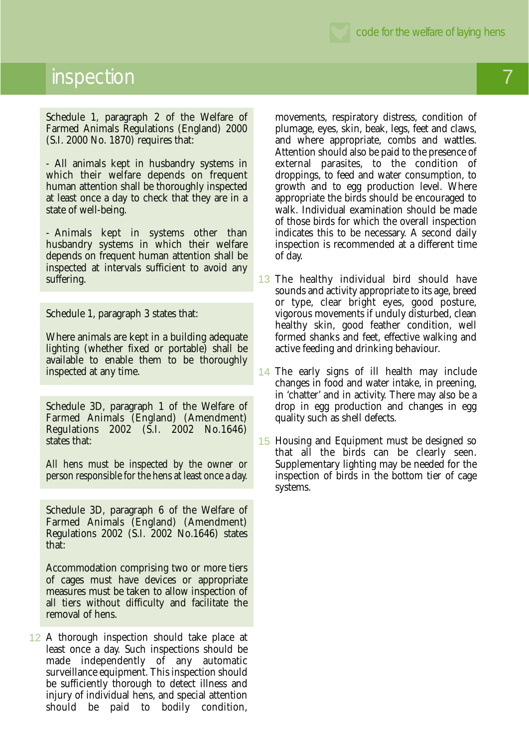### inspection

Schedule 1, paragraph 2 of the Welfare of Farmed Animals Regulations (England) 2000 (S.I. 2000 No. 1870) requires that:

- All animals kept in husbandry systems in which their welfare depends on frequent human attention shall be thoroughly inspected at least once a day to check that they are in a state of well-being.

- Animals kept in systems other than husbandry systems in which their welfare depends on frequent human attention shall be inspected at intervals sufficient to avoid any suffering.

Schedule 1, paragraph 3 states that:

Where animals are kept in a building adequate lighting (whether fixed or portable) shall be available to enable them to be thoroughly inspected at any time.

Schedule 3D, paragraph 1 of the Welfare of Farmed Animals (England) (Amendment) Regulations 2002 (S.I. 2002 No.1646) states that:

All hens must be inspected by the owner or person responsible for the hens at least once a day.

Schedule 3D, paragraph 6 of the Welfare of Farmed Animals (England) (Amendment) Regulations 2002 (S.I. 2002 No.1646) states that:

Accommodation comprising two or more tiers of cages must have devices or appropriate measures must be taken to allow inspection of all tiers without difficulty and facilitate the removal of hens.

12 A thorough inspection should take place at least once a day. Such inspections should be made independently of any automatic surveillance equipment. This inspection should be sufficiently thorough to detect illness and injury of individual hens, and special attention should be paid to bodily condition,

movements, respiratory distress, condition of plumage, eyes, skin, beak, legs, feet and claws, and where appropriate, combs and wattles. Attention should also be paid to the presence of external parasites, to the condition of droppings, to feed and water consumption, to growth and to egg production level. Where appropriate the birds should be encouraged to walk. Individual examination should be made of those birds for which the overall inspection indicates this to be necessary. A second daily inspection is recommended at a different time of day.

- 13 The healthy individual bird should have sounds and activity appropriate to its age, breed or type, clear bright eyes, good posture, vigorous movements if unduly disturbed, clean healthy skin, good feather condition, well formed shanks and feet, effective walking and active feeding and drinking behaviour.
- 14 The early signs of ill health may include changes in food and water intake, in preening, in 'chatter' and in activity. There may also be a drop in egg production and changes in egg quality such as shell defects.
- 15 Housing and Equipment must be designed so that all the birds can be clearly seen. Supplementary lighting may be needed for the inspection of birds in the bottom tier of cage systems.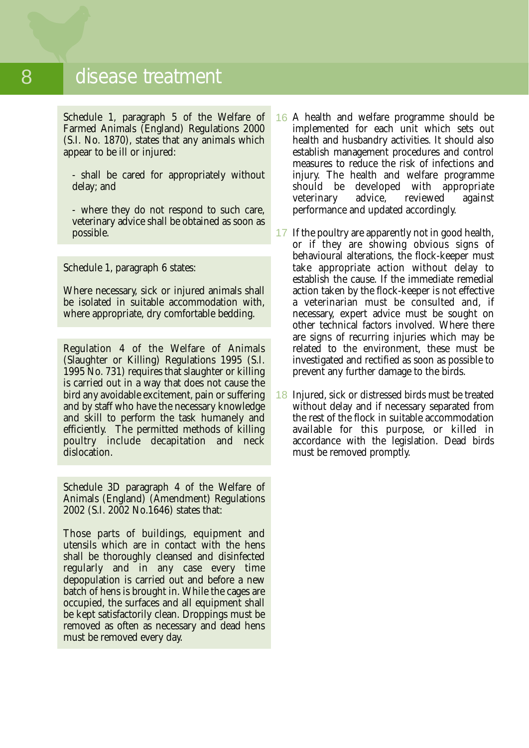8 disease treatment

Schedule 1, paragraph 5 of the Welfare of Farmed Animals (England) Regulations 2000 (S.I. No. 1870), states that any animals which appear to be ill or injured:

- shall be cared for appropriately without delay; and
- where they do not respond to such care, veterinary advice shall be obtained as soon as possible.

Schedule 1, paragraph 6 states:

Where necessary, sick or injured animals shall be isolated in suitable accommodation with, where appropriate, dry comfortable bedding.

Regulation 4 of the Welfare of Animals (Slaughter or Killing) Regulations 1995 (S.I. 1995 No. 731) requires that slaughter or killing is carried out in a way that does not cause the bird any avoidable excitement, pain or suffering and by staff who have the necessary knowledge and skill to perform the task humanely and efficiently. The permitted methods of killing poultry include decapitation and neck dislocation.

Schedule 3D paragraph 4 of the Welfare of Animals (England) (Amendment) Regulations 2002 (S.I. 2002 No.1646) states that:

Those parts of buildings, equipment and utensils which are in contact with the hens shall be thoroughly cleansed and disinfected regularly and in any case every time depopulation is carried out and before a new batch of hens is brought in. While the cages are occupied, the surfaces and all equipment shall be kept satisfactorily clean. Droppings must be removed as often as necessary and dead hens must be removed every day.

- 16 A health and welfare programme should be implemented for each unit which sets out health and husbandry activities. It should also establish management procedures and control measures to reduce the risk of infections and injury. The health and welfare programme should be developed with appropriate veterinary advice, reviewed against performance and updated accordingly.
- 17 If the poultry are apparently not in good health, or if they are showing obvious signs of behavioural alterations, the flock-keeper must take appropriate action without delay to establish the cause. If the immediate remedial action taken by the flock-keeper is not effective a veterinarian must be consulted and, if necessary, expert advice must be sought on other technical factors involved. Where there are signs of recurring injuries which may be related to the environment, these must be investigated and rectified as soon as possible to prevent any further damage to the birds.
- 18 Injured, sick or distressed birds must be treated without delay and if necessary separated from the rest of the flock in suitable accommodation available for this purpose, or killed in accordance with the legislation. Dead birds must be removed promptly.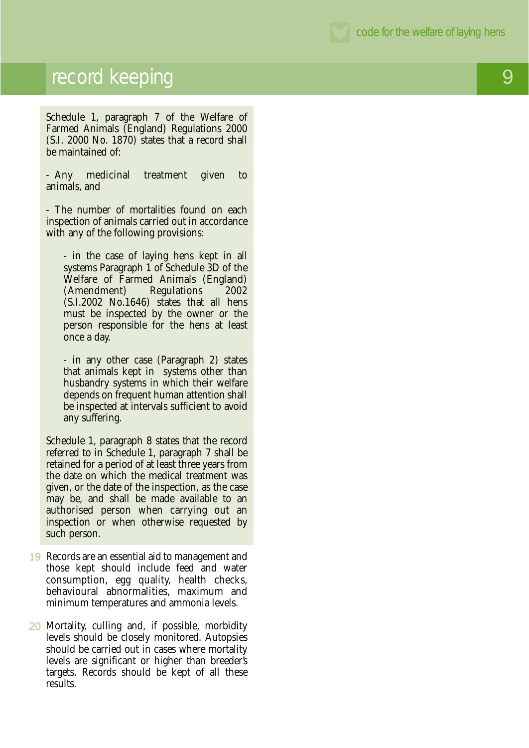

# record keeping and the state of the state of the state of the state of the state of the state of the state of the state of the state of the state of the state of the state of the state of the state of the state of the stat

Schedule 1, paragraph 7 of the Welfare of Farmed Animals (England) Regulations 2000 (S.I. 2000 No. 1870) states that a record shall be maintained of:

- Any medicinal treatment given to animals, and

- The number of mortalities found on each inspection of animals carried out in accordance with any of the following provisions:

- in the case of laying hens kept in all systems Paragraph 1 of Schedule 3D of the Welfare of Farmed Animals (England) (Amendment) Regulations 2002 (S.I.2002 No.1646) states that all hens must be inspected by the owner or the person responsible for the hens at least once a day.

- in any other case (Paragraph 2) states that animals kept in systems other than husbandry systems in which their welfare depends on frequent human attention shall be inspected at intervals sufficient to avoid any suffering.

Schedule 1, paragraph 8 states that the record referred to in Schedule 1, paragraph 7 shall be retained for a period of at least three years from the date on which the medical treatment was given, or the date of the inspection, as the case may be, and shall be made available to an authorised person when carrying out an inspection or when otherwise requested by such person.

- 19 Records are an essential aid to management and those kept should include feed and water consumption, egg quality, health checks, behavioural abnormalities, maximum and minimum temperatures and ammonia levels.
- 20 Mortality, culling and, if possible, morbidity levels should be closely monitored. Autopsies should be carried out in cases where mortality levels are significant or higher than breeder's targets. Records should be kept of all these results.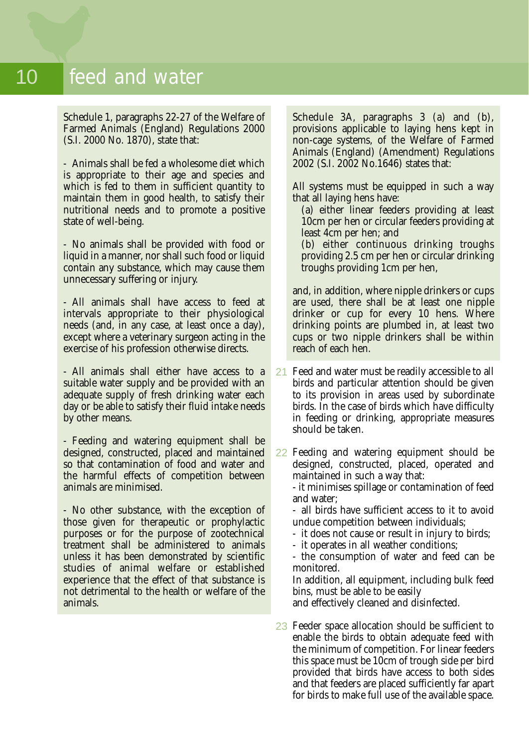Schedule 1, paragraphs 22-27 of the Welfare of Farmed Animals (England) Regulations 2000 (S.I. 2000 No. 1870), state that:

- Animals shall be fed a wholesome diet which is appropriate to their age and species and which is fed to them in sufficient quantity to maintain them in good health, to satisfy their nutritional needs and to promote a positive state of well-being.

- No animals shall be provided with food or liquid in a manner, nor shall such food or liquid contain any substance, which may cause them unnecessary suffering or injury.

- All animals shall have access to feed at intervals appropriate to their physiological needs (and, in any case, at least once a day), except where a veterinary surgeon acting in the exercise of his profession otherwise directs.

- All animals shall either have access to a suitable water supply and be provided with an adequate supply of fresh drinking water each day or be able to satisfy their fluid intake needs by other means.

- Feeding and watering equipment shall be designed, constructed, placed and maintained so that contamination of food and water and the harmful effects of competition between animals are minimised.

- No other substance, with the exception of those given for therapeutic or prophylactic purposes or for the purpose of zootechnical treatment shall be administered to animals unless it has been demonstrated by scientific studies of animal welfare or established experience that the effect of that substance is not detrimental to the health or welfare of the animals.

Schedule 3A, paragraphs 3 (a) and (b), provisions applicable to laying hens kept in non-cage systems, of the Welfare of Farmed Animals (England) (Amendment) Regulations 2002 (S.I. 2002 No.1646) states that:

All systems must be equipped in such a way that all laying hens have:

(a) either linear feeders providing at least 10cm per hen or circular feeders providing at least 4cm per hen; and

(b) either continuous drinking troughs providing 2.5 cm per hen or circular drinking troughs providing 1cm per hen,

and, in addition, where nipple drinkers or cups are used, there shall be at least one nipple drinker or cup for every 10 hens. Where drinking points are plumbed in, at least two cups or two nipple drinkers shall be within reach of each hen.

21 Feed and water must be readily accessible to all birds and particular attention should be given to its provision in areas used by subordinate birds. In the case of birds which have difficulty in feeding or drinking, appropriate measures should be taken.

22 Feeding and watering equipment should be designed, constructed, placed, operated and maintained in such a way that:

- it minimises spillage or contamination of feed and water;

- all birds have sufficient access to it to avoid undue competition between individuals;

- it does not cause or result in injury to birds;

- it operates in all weather conditions;

- the consumption of water and feed can be monitored.

In addition, all equipment, including bulk feed bins, must be able to be easily

and effectively cleaned and disinfected.

23 Feeder space allocation should be sufficient to enable the birds to obtain adequate feed with the minimum of competition. For linear feeders this space must be 10cm of trough side per bird provided that birds have access to both sides and that feeders are placed sufficiently far apart for birds to make full use of the available space.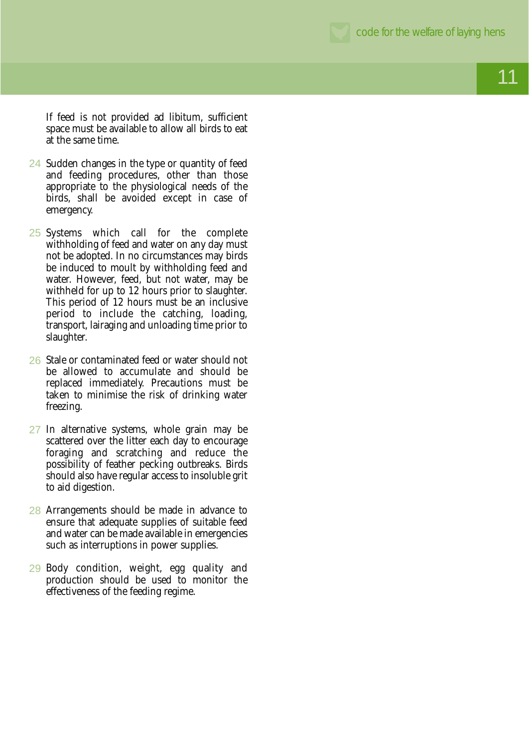

11

If feed is not provided ad libitum, sufficient space must be available to allow all birds to eat at the same time.

- 24 Sudden changes in the type or quantity of feed and feeding procedures, other than those appropriate to the physiological needs of the birds, shall be avoided except in case of emergency.
- 25 Systems which call for the complete withholding of feed and water on any day must not be adopted. In no circumstances may birds be induced to moult by withholding feed and water. However, feed, but not water, may be withheld for up to 12 hours prior to slaughter. This period of 12 hours must be an inclusive period to include the catching, loading, transport, lairaging and unloading time prior to slaughter.
- 26 Stale or contaminated feed or water should not be allowed to accumulate and should be replaced immediately. Precautions must be taken to minimise the risk of drinking water freezing.
- 27 In alternative systems, whole grain may be scattered over the litter each day to encourage foraging and scratching and reduce the possibility of feather pecking outbreaks. Birds should also have regular access to insoluble grit to aid digestion.
- 28 Arrangements should be made in advance to ensure that adequate supplies of suitable feed and water can be made available in emergencies such as interruptions in power supplies.
- 29 Body condition, weight, egg quality and production should be used to monitor the effectiveness of the feeding regime.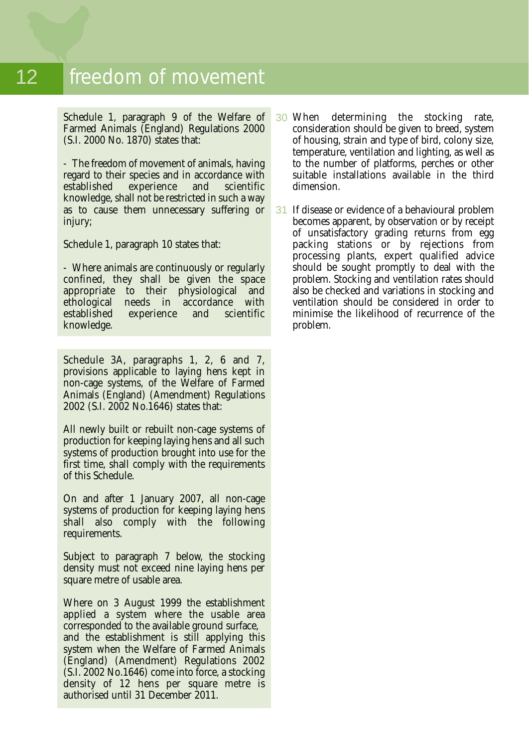# 12 **freedom of movement**

Schedule 1, paragraph 9 of the Welfare of Farmed Animals (England) Regulations 2000 (S.I. 2000 No. 1870) states that:

- The freedom of movement of animals, having regard to their species and in accordance with established experience and scientific knowledge, shall not be restricted in such a way as to cause them unnecessary suffering or injury;

Schedule 1, paragraph 10 states that:

- Where animals are continuously or regularly confined, they shall be given the space appropriate to their physiological and ethological needs in accordance with<br>established experience and scientific experience knowledge.

Schedule 3A, paragraphs 1, 2, 6 and 7, provisions applicable to laying hens kept in non-cage systems, of the Welfare of Farmed Animals (England) (Amendment) Regulations 2002 (S.I. 2002 No.1646) states that:

All newly built or rebuilt non-cage systems of production for keeping laying hens and all such systems of production brought into use for the first time, shall comply with the requirements of this Schedule.

On and after 1 January 2007, all non-cage systems of production for keeping laying hens shall also comply with the following requirements.

Subject to paragraph 7 below, the stocking density must not exceed nine laying hens per square metre of usable area.

Where on 3 August 1999 the establishment applied a system where the usable area corresponded to the available ground surface, and the establishment is still applying this system when the Welfare of Farmed Animals (England) (Amendment) Regulations 2002 (S.I. 2002 No.1646) come into force, a stocking density of 12 hens per square metre is authorised until 31 December 2011.

- 30 When determining the stocking rate, consideration should be given to breed, system of housing, strain and type of bird, colony size, temperature, ventilation and lighting, as well as to the number of platforms, perches or other suitable installations available in the third dimension.
- 31 If disease or evidence of a behavioural problem becomes apparent, by observation or by receipt of unsatisfactory grading returns from egg packing stations or by rejections from processing plants, expert qualified advice should be sought promptly to deal with the problem. Stocking and ventilation rates should also be checked and variations in stocking and ventilation should be considered in order to minimise the likelihood of recurrence of the problem.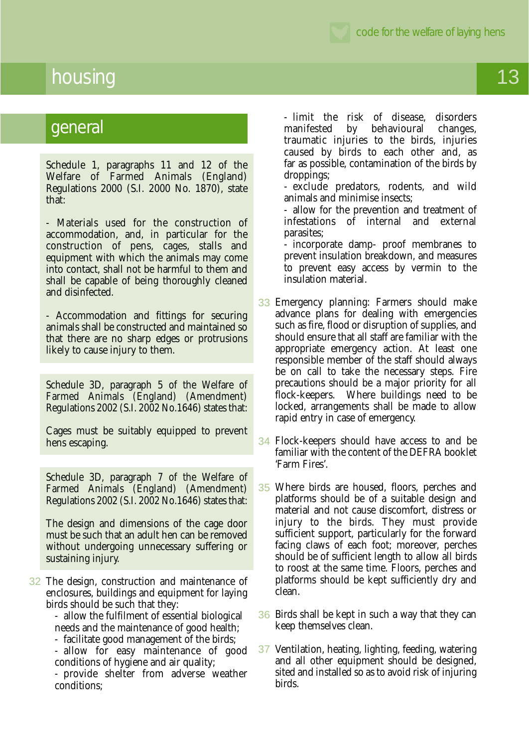# housing the contract of the contract of the contract of the contract of the contract of the contract of the contract of the contract of the contract of the contract of the contract of the contract of the contract of the co

#### general

Schedule 1, paragraphs 11 and 12 of the Welfare of Farmed Animals (England) Regulations 2000 (S.I. 2000 No. 1870), state that:

- Materials used for the construction of accommodation, and, in particular for the construction of pens, cages, stalls and equipment with which the animals may come into contact, shall not be harmful to them and shall be capable of being thoroughly cleaned and disinfected.

- Accommodation and fittings for securing animals shall be constructed and maintained so that there are no sharp edges or protrusions likely to cause injury to them.

Schedule 3D, paragraph 5 of the Welfare of Farmed Animals (England) (Amendment) Regulations 2002 (S.I. 2002 No.1646) states that:

Cages must be suitably equipped to prevent hens escaping.

Schedule 3D, paragraph 7 of the Welfare of Farmed Animals (England) (Amendment) Regulations 2002 (S.I. 2002 No.1646) states that:

The design and dimensions of the cage door must be such that an adult hen can be removed without undergoing unnecessary suffering or sustaining injury.

- 32 The design, construction and maintenance of enclosures, buildings and equipment for laying birds should be such that they:
	- allow the fulfilment of essential biological needs and the maintenance of good health;
	- facilitate good management of the birds;
	- allow for easy maintenance of good conditions of hygiene and air quality;
	- provide shelter from adverse weather conditions;

- limit the risk of disease, disorders manifested by behavioural changes, traumatic injuries to the birds, injuries caused by birds to each other and, as far as possible, contamination of the birds by droppings;

- exclude predators, rodents, and wild animals and minimise insects;

- allow for the prevention and treatment of infestations of internal and external parasites;

- incorporate damp- proof membranes to prevent insulation breakdown, and measures to prevent easy access by vermin to the insulation material.

33 Emergency planning: Farmers should make advance plans for dealing with emergencies such as fire, flood or disruption of supplies, and should ensure that all staff are familiar with the appropriate emergency action. At least one responsible member of the staff should always be on call to take the necessary steps. Fire precautions should be a major priority for all flock-keepers. Where buildings need to be locked, arrangements shall be made to allow rapid entry in case of emergency.

34 Flock-keepers should have access to and be familiar with the content of the DEFRA booklet 'Farm Fires'.

Where birds are housed, floors, perches and 35 platforms should be of a suitable design and material and not cause discomfort, distress or injury to the birds. They must provide sufficient support, particularly for the forward facing claws of each foot; moreover, perches should be of sufficient length to allow all birds to roost at the same time. Floors, perches and platforms should be kept sufficiently dry and clean.

- 36 Birds shall be kept in such a way that they can keep themselves clean.
- 37 Ventilation, heating, lighting, feeding, watering and all other equipment should be designed, sited and installed so as to avoid risk of injuring birds.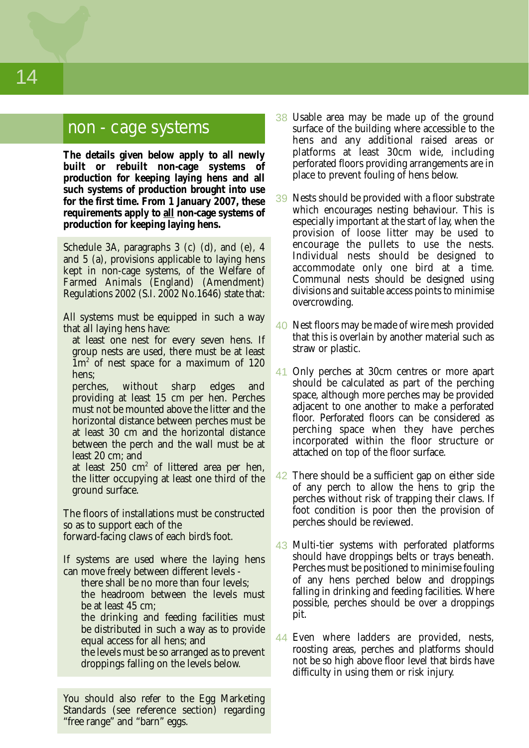#### non - cage systems

**The details given below apply to all newly built or rebuilt non-cage systems of production for keeping laying hens and all such systems of production brought into use for the first time. From 1 January 2007, these requirements apply to all non-cage systems of production for keeping laying hens.**

Schedule 3A, paragraphs 3 (c) (d), and (e), 4 and 5 (a), provisions applicable to laying hens kept in non-cage systems, of the Welfare of Farmed Animals (England) (Amendment) Regulations 2002 (S.I. 2002 No.1646) state that:

All systems must be equipped in such a way that all laying hens have:

- at least one nest for every seven hens. If group nests are used, there must be at least  $1m<sup>2</sup>$  of nest space for a maximum of 120 hens;
- perches, without sharp edges and providing at least 15 cm per hen. Perches must not be mounted above the litter and the horizontal distance between perches must be at least 30 cm and the horizontal distance between the perch and the wall must be at least 20 cm; and
- at least  $250 \text{ cm}^2$  of littered area per hen, the litter occupying at least one third of the ground surface.

The floors of installations must be constructed so as to support each of the forward-facing claws of each bird's foot.

If systems are used where the laying hens can move freely between different levels -

- there shall be no more than four levels;
- the headroom between the levels must be at least 45 cm;
- the drinking and feeding facilities must be distributed in such a way as to provide equal access for all hens; and
- the levels must be so arranged as to prevent droppings falling on the levels below.

You should also refer to the Egg Marketing Standards (see reference section) regarding "free range" and "barn" eggs.

- 38 Usable area may be made up of the ground surface of the building where accessible to the hens and any additional raised areas or platforms at least 30cm wide, including perforated floors providing arrangements are in place to prevent fouling of hens below.
- 39 Nests should be provided with a floor substrate which encourages nesting behaviour. This is especially important at the start of lay, when the provision of loose litter may be used to encourage the pullets to use the nests. Individual nests should be designed to accommodate only one bird at a time. Communal nests should be designed using divisions and suitable access points to minimise overcrowding.
- 40 Nest floors may be made of wire mesh provided that this is overlain by another material such as straw or plastic.
- 41 Only perches at 30cm centres or more apart should be calculated as part of the perching space, although more perches may be provided adjacent to one another to make a perforated floor. Perforated floors can be considered as perching space when they have perches incorporated within the floor structure or attached on top of the floor surface.
- 42 There should be a sufficient gap on either side of any perch to allow the hens to grip the perches without risk of trapping their claws. If foot condition is poor then the provision of perches should be reviewed.
- 43 Multi-tier systems with perforated platforms should have droppings belts or trays beneath. Perches must be positioned to minimise fouling of any hens perched below and droppings falling in drinking and feeding facilities. Where possible, perches should be over a droppings pit.
- 44 Even where ladders are provided, nests, roosting areas, perches and platforms should not be so high above floor level that birds have difficulty in using them or risk injury.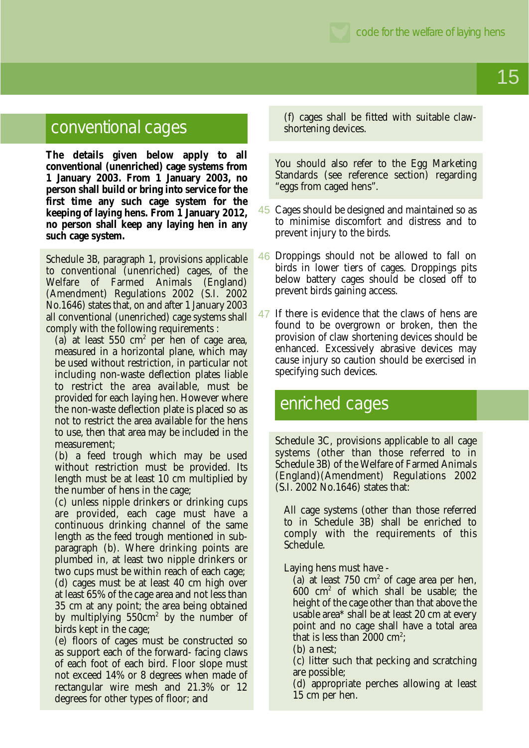**The details given below apply to all conventional (unenriched) cage systems from 1 January 2003. From 1 January 2003, no person shall build or bring into service for the first time any such cage system for the keeping of laying hens. From 1 January 2012, no person shall keep any laying hen in any such cage system.** 

Schedule 3B, paragraph 1, provisions applicable to conventional (unenriched) cages, of the Welfare of Farmed Animals (England) (Amendment) Regulations 2002 (S.I. 2002 No.1646) states that, on and after 1 January 2003 all conventional (unenriched) cage systems shall comply with the following requirements :

(a) at least  $550 \text{ cm}^2$  per hen of cage area, measured in a horizontal plane, which may be used without restriction, in particular not including non-waste deflection plates liable to restrict the area available, must be provided for each laying hen. However where the non-waste deflection plate is placed so as not to restrict the area available for the hens to use, then that area may be included in the measurement;

(b) a feed trough which may be used without restriction must be provided. Its length must be at least 10 cm multiplied by the number of hens in the cage;

(c) unless nipple drinkers or drinking cups are provided, each cage must have a continuous drinking channel of the same length as the feed trough mentioned in subparagraph (b). Where drinking points are plumbed in, at least two nipple drinkers or two cups must be within reach of each cage; (d) cages must be at least 40 cm high over at least 65% of the cage area and not less than 35 cm at any point; the area being obtained by multiplying 550cm2 by the number of birds kept in the cage;

(e) floors of cages must be constructed so as support each of the forward- facing claws of each foot of each bird. Floor slope must not exceed 14% or 8 degrees when made of rectangular wire mesh and 21.3% or 12 degrees for other types of floor; and

conventional cages (f) cages shall be fitted with suitable claw-<br>conventional cages shortening devices.

> You should also refer to the Egg Marketing Standards (see reference section) regarding "eggs from caged hens".

- 45 Cages should be designed and maintained so as to minimise discomfort and distress and to prevent injury to the birds.
- 46 Droppings should not be allowed to fall on birds in lower tiers of cages. Droppings pits below battery cages should be closed off to prevent birds gaining access.
- 47 If there is evidence that the claws of hens are found to be overgrown or broken, then the provision of claw shortening devices should be enhanced. Excessively abrasive devices may cause injury so caution should be exercised in specifying such devices.

#### enriched cages

Schedule 3C, provisions applicable to all cage systems (other than those referred to in Schedule 3B) of the Welfare of Farmed Animals (England)(Amendment) Regulations 2002 (S.I. 2002 No.1646) states that:

All cage systems (other than those referred to in Schedule 3B) shall be enriched to comply with the requirements of this Schedule.

Laying hens must have -

(a) at least  $750 \text{ cm}^2$  of cage area per hen,  $600 \text{ cm}^2$  of which shall be usable; the height of the cage other than that above the usable area\* shall be at least 20 cm at every point and no cage shall have a total area that is less than  $2000 \text{ cm}^2$ ;

(b) a nest;

(c) litter such that pecking and scratching are possible;

(d) appropriate perches allowing at least 15 cm per hen.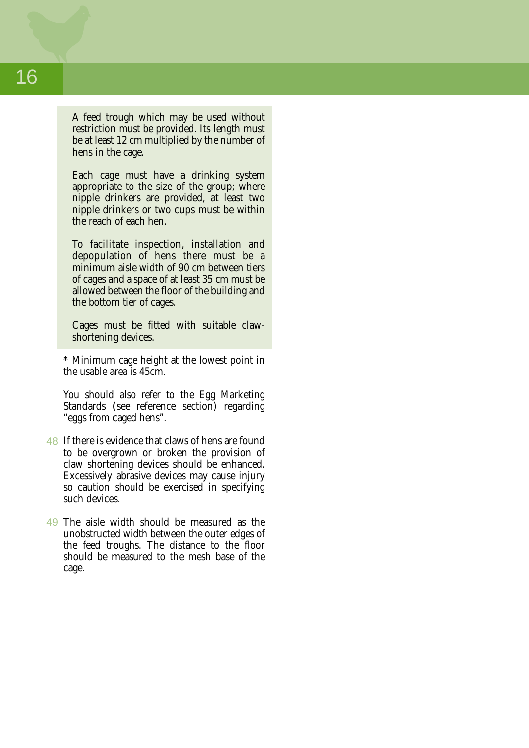A feed trough which may be used without restriction must be provided. Its length must be at least 12 cm multiplied by the number of hens in the cage.

Each cage must have a drinking system appropriate to the size of the group; where nipple drinkers are provided, at least two nipple drinkers or two cups must be within the reach of each hen.

To facilitate inspection, installation and depopulation of hens there must be a minimum aisle width of 90 cm between tiers of cages and a space of at least 35 cm must be allowed between the floor of the building and the bottom tier of cages.

Cages must be fitted with suitable clawshortening devices.

\* Minimum cage height at the lowest point in the usable area is 45cm.

You should also refer to the Egg Marketing Standards (see reference section) regarding "eggs from caged hens".

- 48 If there is evidence that claws of hens are found to be overgrown or broken the provision of claw shortening devices should be enhanced. Excessively abrasive devices may cause injury so caution should be exercised in specifying such devices.
- 49 The aisle width should be measured as the unobstructed width between the outer edges of the feed troughs. The distance to the floor should be measured to the mesh base of the cage.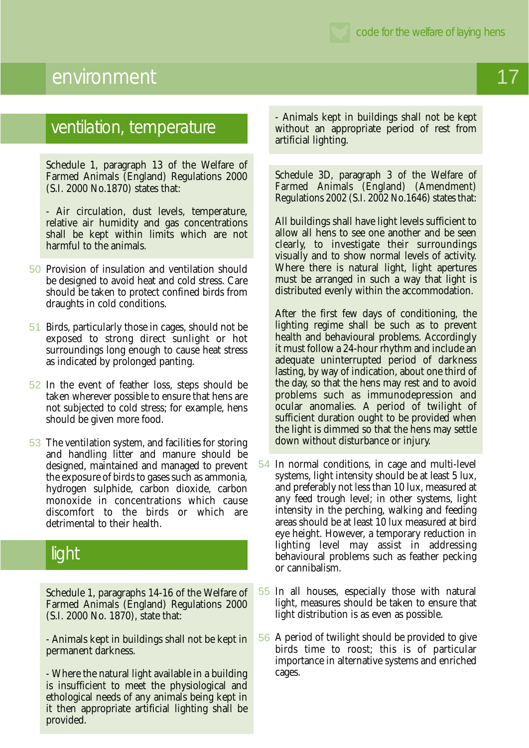## environment

#### ventilation, temperature

Schedule 1, paragraph 13 of the Welfare of Farmed Animals (England) Regulations 2000 (S.I. 2000 No.1870) states that:

- Air circulation, dust levels, temperature, relative air humidity and gas concentrations shall be kept within limits which are not harmful to the animals.

- 50 Provision of insulation and ventilation should be designed to avoid heat and cold stress. Care should be taken to protect confined birds from draughts in cold conditions.
- 51 Birds, particularly those in cages, should not be exposed to strong direct sunlight or hot surroundings long enough to cause heat stress as indicated by prolonged panting.
- 52 In the event of feather loss, steps should be taken wherever possible to ensure that hens are not subjected to cold stress; for example, hens should be given more food.
- 53 The ventilation system, and facilities for storing and handling litter and manure should be designed, maintained and managed to prevent the exposure of birds to gases such as ammonia, hydrogen sulphide, carbon dioxide, carbon monoxide in concentrations which cause discomfort to the birds or which are detrimental to their health.

#### light

Schedule 1, paragraphs 14-16 of the Welfare of Farmed Animals (England) Regulations 2000 (S.I. 2000 No. 1870), state that:

- Animals kept in buildings shall not be kept in permanent darkness.

- Where the natural light available in a building is insufficient to meet the physiological and ethological needs of any animals being kept in it then appropriate artificial lighting shall be provided.

- Animals kept in buildings shall not be kept without an appropriate period of rest from artificial lighting.

Schedule 3D, paragraph 3 of the Welfare of Farmed Animals (England) (Amendment) Regulations 2002 (S.I. 2002 No.1646) states that:

All buildings shall have light levels sufficient to allow all hens to see one another and be seen clearly, to investigate their surroundings visually and to show normal levels of activity. Where there is natural light, light apertures must be arranged in such a way that light is distributed evenly within the accommodation.

After the first few days of conditioning, the lighting regime shall be such as to prevent health and behavioural problems. Accordingly it must follow a 24-hour rhythm and include an adequate uninterrupted period of darkness lasting, by way of indication, about one third of the day, so that the hens may rest and to avoid problems such as immunodepression and ocular anomalies. A period of twilight of sufficient duration ought to be provided when the light is dimmed so that the hens may settle down without disturbance or injury.

- 54 In normal conditions, in cage and multi-level systems, light intensity should be at least 5 lux, and preferably not less than 10 lux, measured at any feed trough level; in other systems, light intensity in the perching, walking and feeding areas should be at least 10 lux measured at bird eye height. However, a temporary reduction in lighting level may assist in addressing behavioural problems such as feather pecking or cannibalism.
- 55 In all houses, especially those with natural light, measures should be taken to ensure that light distribution is as even as possible.
- 56 A period of twilight should be provided to give birds time to roost; this is of particular importance in alternative systems and enriched cages.

# 17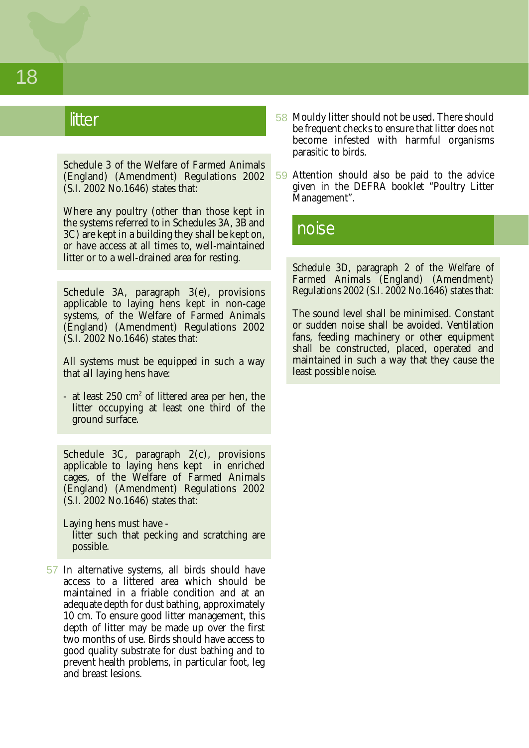Schedule 3 of the Welfare of Farmed Animals (England) (Amendment) Regulations 2002 (S.I. 2002 No.1646) states that:

Where any poultry (other than those kept in the systems referred to in Schedules 3A, 3B and 3C) are kept in a building they shall be kept on, or have access at all times to, well-maintained litter or to a well-drained area for resting.

Schedule 3A, paragraph 3(e), provisions applicable to laying hens kept in non-cage systems, of the Welfare of Farmed Animals (England) (Amendment) Regulations 2002 (S.I. 2002 No.1646) states that:

All systems must be equipped in such a way that all laying hens have:

- at least  $250 \text{ cm}^2$  of littered area per hen, the litter occupying at least one third of the ground surface.

Schedule 3C, paragraph 2(c), provisions applicable to laying hens kept in enriched cages, of the Welfare of Farmed Animals (England) (Amendment) Regulations 2002 (S.I. 2002 No.1646) states that:

Laying hens must have litter such that pecking and scratching are possible.

57 In alternative systems, all birds should have access to a littered area which should be maintained in a friable condition and at an adequate depth for dust bathing, approximately 10 cm. To ensure good litter management, this depth of litter may be made up over the first two months of use. Birds should have access to good quality substrate for dust bathing and to prevent health problems, in particular foot, leg and breast lesions.

- litter Mouldy litter should not be used. There should<br>he frequent checks to ensure that litter does not be frequent checks to ensure that litter does not become infested with harmful organisms parasitic to birds.
	- 59 Attention should also be paid to the advice given in the DEFRA booklet "Poultry Litter Management".

noise

Schedule 3D, paragraph 2 of the Welfare of Farmed Animals (England) (Amendment) Regulations 2002 (S.I. 2002 No.1646) states that:

The sound level shall be minimised. Constant or sudden noise shall be avoided. Ventilation fans, feeding machinery or other equipment shall be constructed, placed, operated and maintained in such a way that they cause the least possible noise.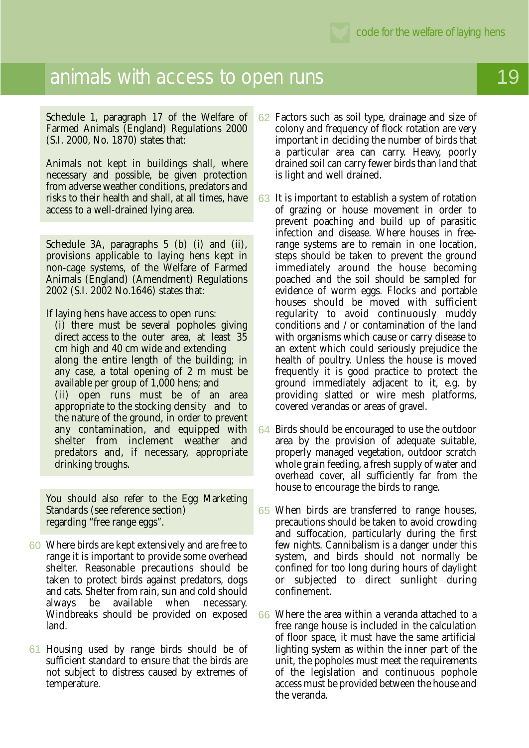#### animals with access to open runs

Schedule 1, paragraph 17 of the Welfare of Farmed Animals (England) Regulations 2000 (S.I. 2000, No. 1870) states that:

Animals not kept in buildings shall, where necessary and possible, be given protection from adverse weather conditions, predators and risks to their health and shall, at all times, have access to a well-drained lying area.

Schedule 3A, paragraphs 5 (b) (i) and (ii), provisions applicable to laying hens kept in non-cage systems, of the Welfare of Farmed Animals (England) (Amendment) Regulations 2002 (S.I. 2002 No.1646) states that:

If laying hens have access to open runs:

(i) there must be several popholes giving direct access to the outer area, at least 35 cm high and 40 cm wide and extending along the entire length of the building; in any case, a total opening of 2 m must be available per group of 1,000 hens; and (ii) open runs must be of an area appropriate to the stocking density and to the nature of the ground, in order to prevent any contamination, and equipped with shelter from inclement weather and predators and, if necessary, appropriate drinking troughs.

You should also refer to the Egg Marketing Standards (see reference section) regarding "free range eggs".

- Where birds are kept extensively and are free to 60 range it is important to provide some overhead shelter. Reasonable precautions should be taken to protect birds against predators, dogs and cats. Shelter from rain, sun and cold should always be available when necessary. Windbreaks should be provided on exposed land.
- 61 Housing used by range birds should be of sufficient standard to ensure that the birds are not subject to distress caused by extremes of temperature.
- 62 Factors such as soil type, drainage and size of colony and frequency of flock rotation are very important in deciding the number of birds that a particular area can carry. Heavy, poorly drained soil can carry fewer birds than land that is light and well drained.
- 63 It is important to establish a system of rotation of grazing or house movement in order to prevent poaching and build up of parasitic infection and disease. Where houses in freerange systems are to remain in one location, steps should be taken to prevent the ground immediately around the house becoming poached and the soil should be sampled for evidence of worm eggs. Flocks and portable houses should be moved with sufficient regularity to avoid continuously muddy conditions and / or contamination of the land with organisms which cause or carry disease to an extent which could seriously prejudice the health of poultry. Unless the house is moved frequently it is good practice to protect the ground immediately adjacent to it, e.g. by providing slatted or wire mesh platforms, covered verandas or areas of gravel.
- 64 Birds should be encouraged to use the outdoor area by the provision of adequate suitable, properly managed vegetation, outdoor scratch whole grain feeding, a fresh supply of water and overhead cover, all sufficiently far from the house to encourage the birds to range.
- When birds are transferred to range houses, 65 precautions should be taken to avoid crowding and suffocation, particularly during the first few nights. Cannibalism is a danger under this system, and birds should not normally be confined for too long during hours of daylight or subjected to direct sunlight during confinement.
- 66 Where the area within a veranda attached to a free range house is included in the calculation of floor space, it must have the same artificial lighting system as within the inner part of the unit, the popholes must meet the requirements of the legislation and continuous pophole access must be provided between the house and the veranda.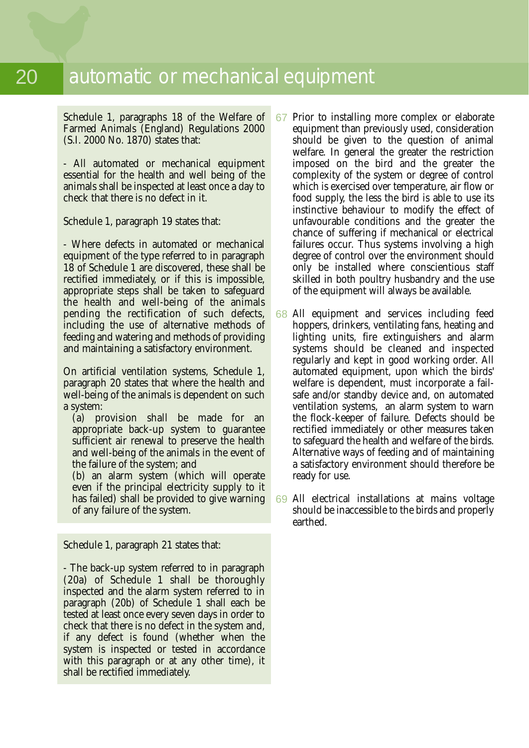Schedule 1, paragraphs 18 of the Welfare of Farmed Animals (England) Regulations 2000 (S.I. 2000 No. 1870) states that:

- All automated or mechanical equipment essential for the health and well being of the animals shall be inspected at least once a day to check that there is no defect in it.

Schedule 1, paragraph 19 states that:

- Where defects in automated or mechanical equipment of the type referred to in paragraph 18 of Schedule 1 are discovered, these shall be rectified immediately, or if this is impossible, appropriate steps shall be taken to safeguard the health and well-being of the animals pending the rectification of such defects, including the use of alternative methods of feeding and watering and methods of providing and maintaining a satisfactory environment.

On artificial ventilation systems, Schedule 1, paragraph 20 states that where the health and well-being of the animals is dependent on such a system:

(a) provision shall be made for an appropriate back-up system to guarantee sufficient air renewal to preserve the health and well-being of the animals in the event of the failure of the system; and

(b) an alarm system (which will operate even if the principal electricity supply to it has failed) shall be provided to give warning of any failure of the system.

Schedule 1, paragraph 21 states that:

- The back-up system referred to in paragraph (20a) of Schedule 1 shall be thoroughly inspected and the alarm system referred to in paragraph (20b) of Schedule 1 shall each be tested at least once every seven days in order to check that there is no defect in the system and, if any defect is found (whether when the system is inspected or tested in accordance with this paragraph or at any other time), it shall be rectified immediately.

- 67 Prior to installing more complex or elaborate equipment than previously used, consideration should be given to the question of animal welfare. In general the greater the restriction imposed on the bird and the greater the complexity of the system or degree of control which is exercised over temperature, air flow or food supply, the less the bird is able to use its instinctive behaviour to modify the effect of unfavourable conditions and the greater the chance of suffering if mechanical or electrical failures occur. Thus systems involving a high degree of control over the environment should only be installed where conscientious staff skilled in both poultry husbandry and the use of the equipment will always be available.
- 68 All equipment and services including feed hoppers, drinkers, ventilating fans, heating and lighting units, fire extinguishers and alarm systems should be cleaned and inspected regularly and kept in good working order. All automated equipment, upon which the birds' welfare is dependent, must incorporate a failsafe and/or standby device and, on automated ventilation systems, an alarm system to warn the flock-keeper of failure. Defects should be rectified immediately or other measures taken to safeguard the health and welfare of the birds. Alternative ways of feeding and of maintaining a satisfactory environment should therefore be ready for use.
- 69 All electrical installations at mains voltage should be inaccessible to the birds and properly earthed.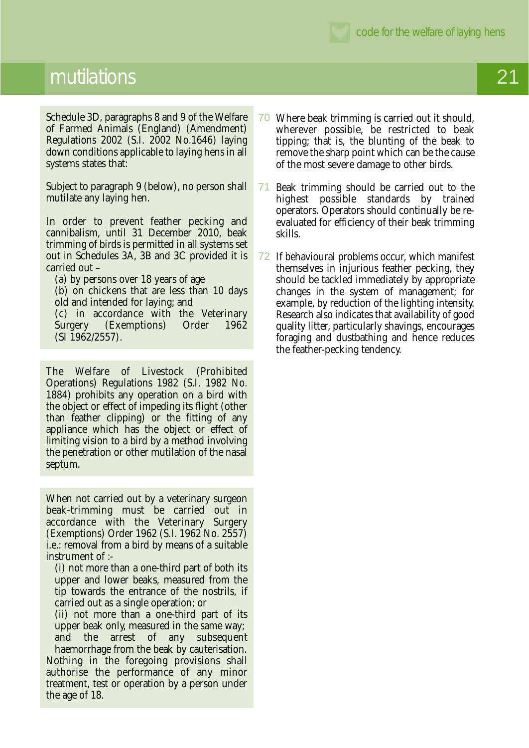### mutilations 21

Schedule 3D, paragraphs 8 and 9 of the Welfare of Farmed Animals (England) (Amendment) Regulations 2002 (S.I. 2002 No.1646) laying down conditions applicable to laying hens in all systems states that:

Subject to paragraph 9 (below), no person shall mutilate any laying hen.

In order to prevent feather pecking and cannibalism, until 31 December 2010, beak trimming of birds is permitted in all systems set out in Schedules 3A, 3B and 3C provided it is carried out –

(a) by persons over 18 years of age

(b) on chickens that are less than 10 days old and intended for laying; and

(c) in accordance with the Veterinary Surgery (Exemptions) Order 1962 (SI 1962/2557).

The Welfare of Livestock (Prohibited Operations) Regulations 1982 (S.I. 1982 No. 1884) prohibits any operation on a bird with the object or effect of impeding its flight (other than feather clipping) or the fitting of any appliance which has the object or effect of limiting vision to a bird by a method involving the penetration or other mutilation of the nasal septum.

When not carried out by a veterinary surgeon beak-trimming must be carried out in accordance with the Veterinary Surgery (Exemptions) Order 1962 (S.I. 1962 No. 2557) i.e.: removal from a bird by means of a suitable instrument of :-

(i) not more than a one-third part of both its upper and lower beaks, measured from the tip towards the entrance of the nostrils, if carried out as a single operation; or

(ii) not more than a one-third part of its upper beak only, measured in the same way; and the arrest of any subsequent haemorrhage from the beak by cauterisation. Nothing in the foregoing provisions shall authorise the performance of any minor treatment, test or operation by a person under the age of 18.

- Where beak trimming is carried out it should, wherever possible, be restricted to beak tipping; that is, the blunting of the beak to remove the sharp point which can be the cause of the most severe damage to other birds. 70
- Beak trimming should be carried out to the highest possible standards by trained operators. Operators should continually be reevaluated for efficiency of their beak trimming skills. 71
- If behavioural problems occur, which manifest themselves in injurious feather pecking, they should be tackled immediately by appropriate changes in the system of management; for example, by reduction of the lighting intensity. Research also indicates that availability of good quality litter, particularly shavings, encourages foraging and dustbathing and hence reduces the feather-pecking tendency. 72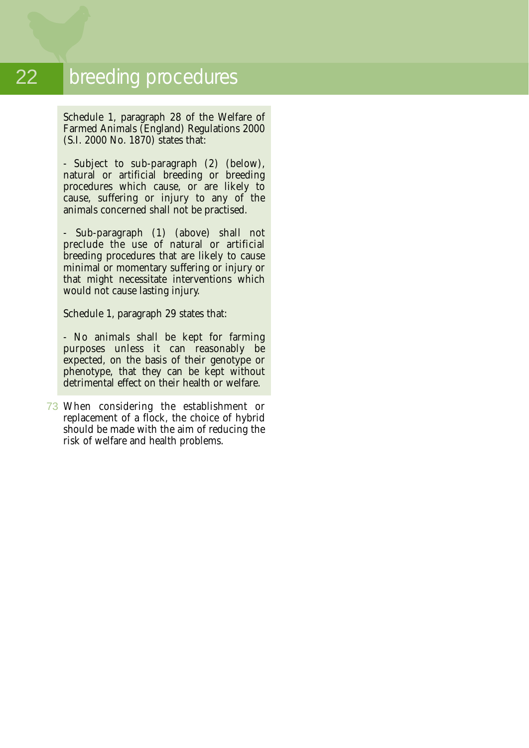# 22 breeding procedures

Schedule 1, paragraph 28 of the Welfare of Farmed Animals (England) Regulations 2000 (S.I. 2000 No. 1870) states that:

- Subject to sub-paragraph (2) (below), natural or artificial breeding or breeding procedures which cause, or are likely to cause, suffering or injury to any of the animals concerned shall not be practised.

- Sub-paragraph (1) (above) shall not preclude the use of natural or artificial breeding procedures that are likely to cause minimal or momentary suffering or injury or that might necessitate interventions which would not cause lasting injury.

Schedule 1, paragraph 29 states that:

- No animals shall be kept for farming purposes unless it can reasonably be expected, on the basis of their genotype or phenotype, that they can be kept without detrimental effect on their health or welfare.

73 When considering the establishment or replacement of a flock, the choice of hybrid should be made with the aim of reducing the risk of welfare and health problems.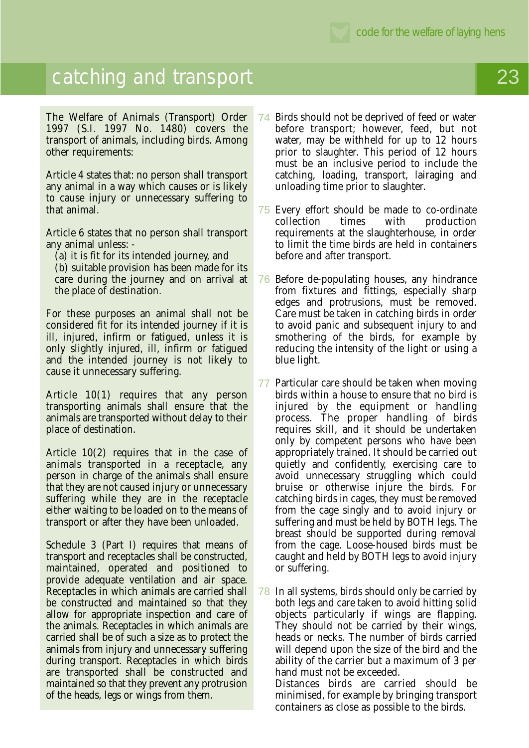# catching and transport

The Welfare of Animals (Transport) Order 1997 (S.I. 1997 No. 1480) covers the transport of animals, including birds. Among other requirements:

Article 4 states that: no person shall transport any animal in a way which causes or is likely to cause injury or unnecessary suffering to that animal.

Article 6 states that no person shall transport any animal unless: -

(a) it is fit for its intended journey, and

(b) suitable provision has been made for its care during the journey and on arrival at the place of destination.

For these purposes an animal shall not be considered fit for its intended journey if it is ill, injured, infirm or fatigued, unless it is only slightly injured, ill, infirm or fatigued and the intended journey is not likely to cause it unnecessary suffering.

Article 10(1) requires that any person transporting animals shall ensure that the animals are transported without delay to their place of destination.

Article 10(2) requires that in the case of animals transported in a receptacle, any person in charge of the animals shall ensure that they are not caused injury or unnecessary suffering while they are in the receptacle either waiting to be loaded on to the means of transport or after they have been unloaded.

Schedule 3 (Part I) requires that means of transport and receptacles shall be constructed, maintained, operated and positioned to provide adequate ventilation and air space. Receptacles in which animals are carried shall be constructed and maintained so that they allow for appropriate inspection and care of the animals. Receptacles in which animals are carried shall be of such a size as to protect the animals from injury and unnecessary suffering during transport. Receptacles in which birds are transported shall be constructed and maintained so that they prevent any protrusion of the heads, legs or wings from them.

- 74 Birds should not be deprived of feed or water before transport; however, feed, but not water, may be withheld for up to 12 hours prior to slaughter. This period of 12 hours must be an inclusive period to include the catching, loading, transport, lairaging and unloading time prior to slaughter.
- 75 Every effort should be made to co-ordinate collection times with production requirements at the slaughterhouse, in order to limit the time birds are held in containers before and after transport.
- 76 Before de-populating houses, any hindrance from fixtures and fittings, especially sharp edges and protrusions, must be removed. Care must be taken in catching birds in order to avoid panic and subsequent injury to and smothering of the birds, for example by reducing the intensity of the light or using a blue light.
- Particular care should be taken when moving 77 birds within a house to ensure that no bird is injured by the equipment or handling process. The proper handling of birds requires skill, and it should be undertaken only by competent persons who have been appropriately trained. It should be carried out quietly and confidently, exercising care to avoid unnecessary struggling which could bruise or otherwise injure the birds. For catching birds in cages, they must be removed from the cage singly and to avoid injury or suffering and must be held by BOTH legs. The breast should be supported during removal from the cage. Loose-housed birds must be caught and held by BOTH legs to avoid injury or suffering.

78 In all systems, birds should only be carried by both legs and care taken to avoid hitting solid objects particularly if wings are flapping. They should not be carried by their wings, heads or necks. The number of birds carried will depend upon the size of the bird and the ability of the carrier but a maximum of 3 per hand must not be exceeded.

Distances birds are carried should be minimised, for example by bringing transport containers as close as possible to the birds.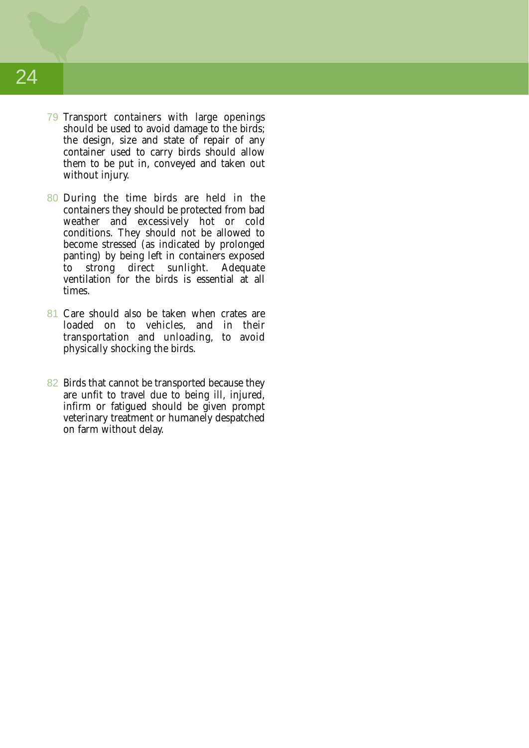#### 24

- 79 Transport containers with large openings should be used to avoid damage to the birds; the design, size and state of repair of any container used to carry birds should allow them to be put in, conveyed and taken out without injury.
- 80 During the time birds are held in the containers they should be protected from bad weather and excessively hot or cold conditions. They should not be allowed to become stressed (as indicated by prolonged panting) by being left in containers exposed to strong direct sunlight. Adequate ventilation for the birds is essential at all times.
- 81 Care should also be taken when crates are loaded on to vehicles, and in their transportation and unloading, to avoid physically shocking the birds.
- 82 Birds that cannot be transported because they are unfit to travel due to being ill, injured, infirm or fatigued should be given prompt veterinary treatment or humanely despatched on farm without delay.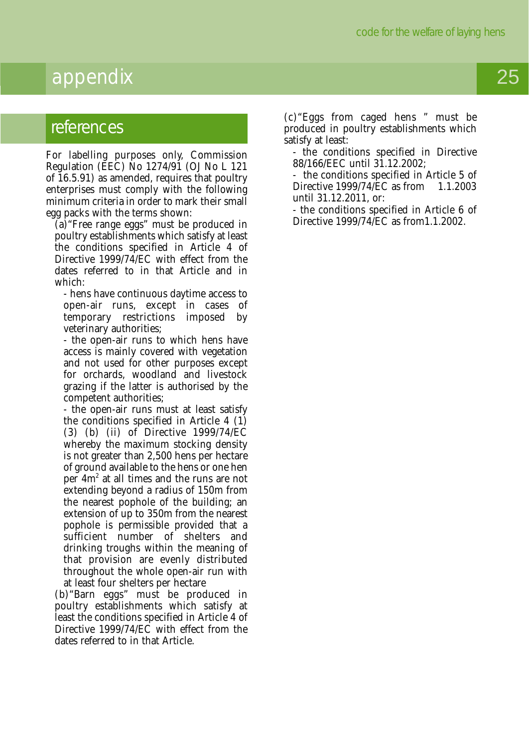# appendix 25

#### references

For labelling purposes only, Commission Regulation (EEC) No 1274/91 (OJ No L 121 of 16.5.91) as amended, requires that poultry enterprises must comply with the following minimum criteria in order to mark their small egg packs with the terms shown:

(a)"Free range eggs" must be produced in poultry establishments which satisfy at least the conditions specified in Article 4 of Directive 1999/74/EC with effect from the dates referred to in that Article and in which:

- hens have continuous daytime access to open-air runs, except in cases of temporary restrictions imposed by veterinary authorities;

- the open-air runs to which hens have access is mainly covered with vegetation and not used for other purposes except for orchards, woodland and livestock grazing if the latter is authorised by the competent authorities;

- the open-air runs must at least satisfy the conditions specified in Article 4 (1) (3) (b) (ii) of Directive 1999/74/EC whereby the maximum stocking density is not greater than 2,500 hens per hectare of ground available to the hens or one hen per 4m2 at all times and the runs are not extending beyond a radius of 150m from the nearest pophole of the building; an extension of up to 350m from the nearest pophole is permissible provided that a sufficient number of shelters and drinking troughs within the meaning of that provision are evenly distributed throughout the whole open-air run with at least four shelters per hectare

(b)"Barn eggs" must be produced in poultry establishments which satisfy at least the conditions specified in Article 4 of Directive 1999/74/EC with effect from the dates referred to in that Article.

(c)"Eggs from caged hens " must be produced in poultry establishments which satisfy at least:

- the conditions specified in Directive 88/166/EEC until 31.12.2002;

- the conditions specified in Article 5 of Directive 1999/74/EC as from 1.1.2003 until 31.12.2011, or:

- the conditions specified in Article 6 of Directive 1999/74/EC as from1.1.2002.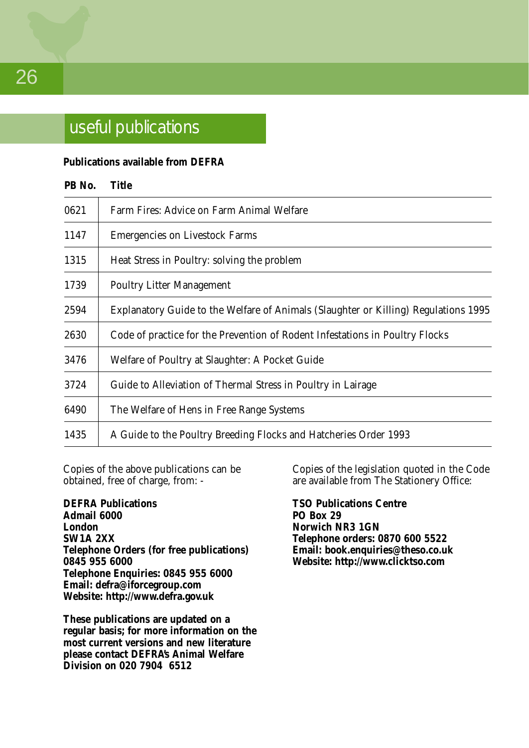#### useful publications

#### **Publications available from DEFRA**

| PB No. | <b>Title</b>                                                                        |  |
|--------|-------------------------------------------------------------------------------------|--|
| 0621   | Farm Fires: Advice on Farm Animal Welfare                                           |  |
| 1147   | <b>Emergencies on Livestock Farms</b>                                               |  |
| 1315   | Heat Stress in Poultry: solving the problem                                         |  |
| 1739   | <b>Poultry Litter Management</b>                                                    |  |
| 2594   | Explanatory Guide to the Welfare of Animals (Slaughter or Killing) Regulations 1995 |  |
| 2630   | Code of practice for the Prevention of Rodent Infestations in Poultry Flocks        |  |
| 3476   | Welfare of Poultry at Slaughter: A Pocket Guide                                     |  |
| 3724   | Guide to Alleviation of Thermal Stress in Poultry in Lairage                        |  |
| 6490   | The Welfare of Hens in Free Range Systems                                           |  |
| 1435   | A Guide to the Poultry Breeding Flocks and Hatcheries Order 1993                    |  |

Copies of the above publications can be obtained, free of charge, from: -

**DEFRA Publications Admail 6000 London SW1A 2XX Telephone Orders (for free publications) 0845 955 6000 Telephone Enquiries: 0845 955 6000 Email: defra@iforcegroup.com Website: http://www.defra.gov.uk**

**These publications are updated on a regular basis; for more information on the most current versions and new literature please contact DEFRA's Animal Welfare Division on 020 7904 6512**

Copies of the legislation quoted in the Code are available from The Stationery Office:

**TSO Publications Centre PO Box 29 Norwich NR3 1GN Telephone orders: 0870 600 5522 Email: book.enquiries@theso.co.uk Website: http://www.clicktso.com**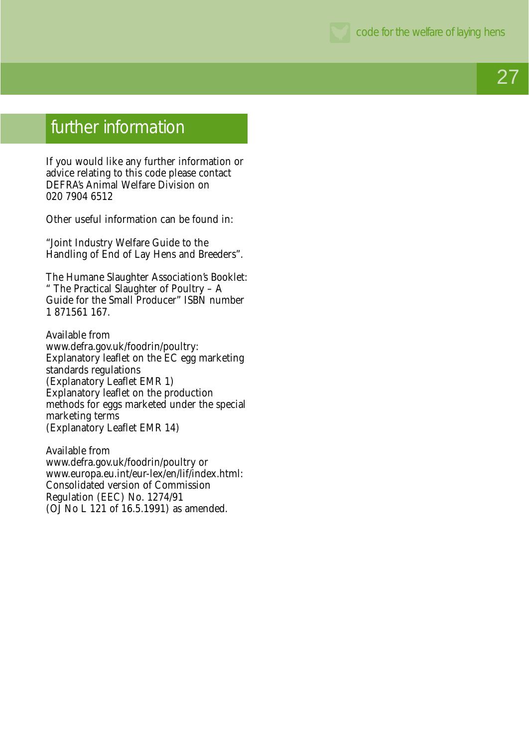

27

## further information

If you would like any further information or advice relating to this code please contact DEFRA's Animal Welfare Division on 020 7904 6512

Other useful information can be found in:

"Joint Industry Welfare Guide to the Handling of End of Lay Hens and Breeders".

The Humane Slaughter Association's Booklet: " The Practical Slaughter of Poultry – A Guide for the Small Producer" ISBN number 1 871561 167.

Available from www.defra.gov.uk/foodrin/poultry: Explanatory leaflet on the EC egg marketing standards regulations (Explanatory Leaflet EMR 1) Explanatory leaflet on the production methods for eggs marketed under the special marketing terms (Explanatory Leaflet EMR 14)

Available from www.defra.gov.uk/foodrin/poultry or www.europa.eu.int/eur-lex/en/lif/index.html: Consolidated version of Commission Regulation (EEC) No. 1274/91 (OJ No L 121 of 16.5.1991) as amended.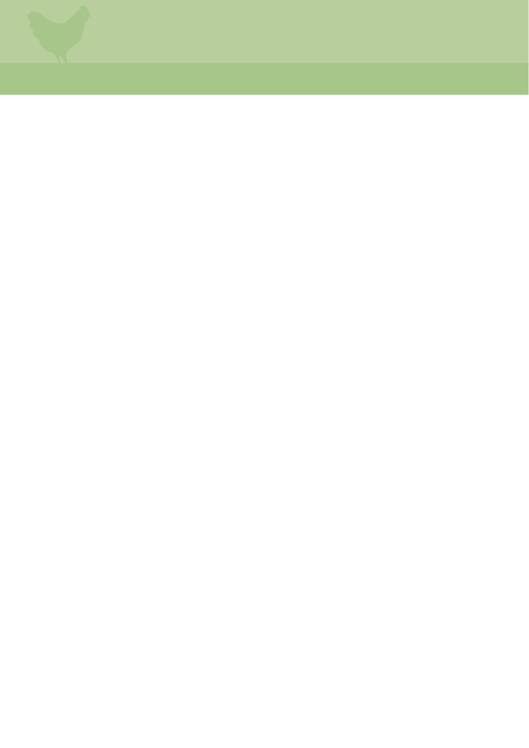